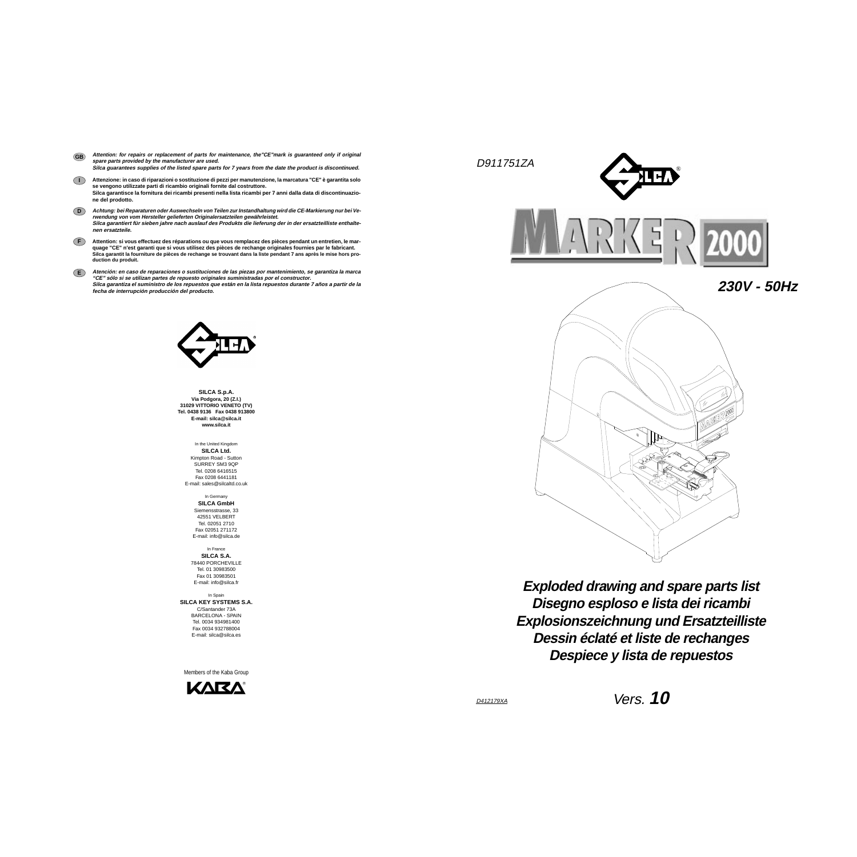D911751ZA





**Disegno esploso e lista dei ricambi Exploded drawing and spare parts list Explosionszeichnung und Ersatzteilliste Dessin éclaté et liste de rechanges Despiece y lista de repuestos**

**SILCA S.p.A. Via Podgora, 20 (Z.I.) 31029 VITTORIO VENETO (TV) Tel. 0438 9136 Fax 0438 913800 E-mail: silca@silca.it www.silca.it**

> In the United Kingdom **SILCA Ltd.** Kimpton Road - Sutton SURREY SM3 9OP Tel. 0208 6416515 Fax 0208 6441181E-mail: sales@silcaltd.co.uk

In Germany **SILCA GmbH** Siemensstrasse, 33 42551 VELBERT Tel. 02051 2710 Fax 02051 271172 E-mail: info@silca.de

In France**SILCA S.A.** 78440 PORCHEVILLETel. 01 30983500 Fax 01 30983501 E-mail: info@silca.fr

In Spain **SILCA KEY SYSTEMS S.A.** C/Santander 73A BARCELONA - SPAIN Tel. 0034 934981400Fax 0034 932788004E-mail: silca@silca.es

- Attention: for repairs or replacement of parts for maintenance, the"CE"mark is guaranteed only if original **spare parts provided by the manufacturer are used. Silca guarantees supplies of the listed spare parts for 7 years from the date the product is discontinued. GB**
- **I** Attenzione: in caso di riparazioni o sostituzione di pezzi per manutenzione, la marcatura "CE" è garantita solo **se vengono utilizzate parti di ricambio originali fornite dal costruttore.** Silca garantisce la fornitura dei ricambi presenti nella lista ricambi per 7 anni dalla data di discontinuazio**ne del prodotto.**
- **D** Achtung: bei Reparaturen oder Auswechseln von Teilen zur Instandhaltung wird die CE-Markierung nur bei Ve**rwendung von vom Hersteller gelieferten Originalersatzteilen gewährleistet.** Silca garantiert für sieben jahre nach auslauf des Produkts die lieferung der in der ersatzteilliste enthalte**nen ersatzteile.**
- **F** Attention: si vous effectuez des réparations ou que vous remplacez des pièces pendant un entretien, le mar**quage "CE" n'est garanti que si vous utilisez des pièces de rechange originales fournies par le fabricant.** Silca garantit la fourniture de pièces de rechange se trouvant dans la liste pendant 7 ans après le mise hors pro**duction du produit.**
- **E** Atención: en caso de reparaciones o sustituciones de las piezas por mantenimiento, se garantiza la marca **"CE" sólo si se utilizan partes de repuesto originales suministradas por el constructor.** Silca garantiza el suministro de los repuestos que están en la lista repuestos durante 7 años a partir de la **fecha de interrupción producción del producto.**



Members of the Kaba Group

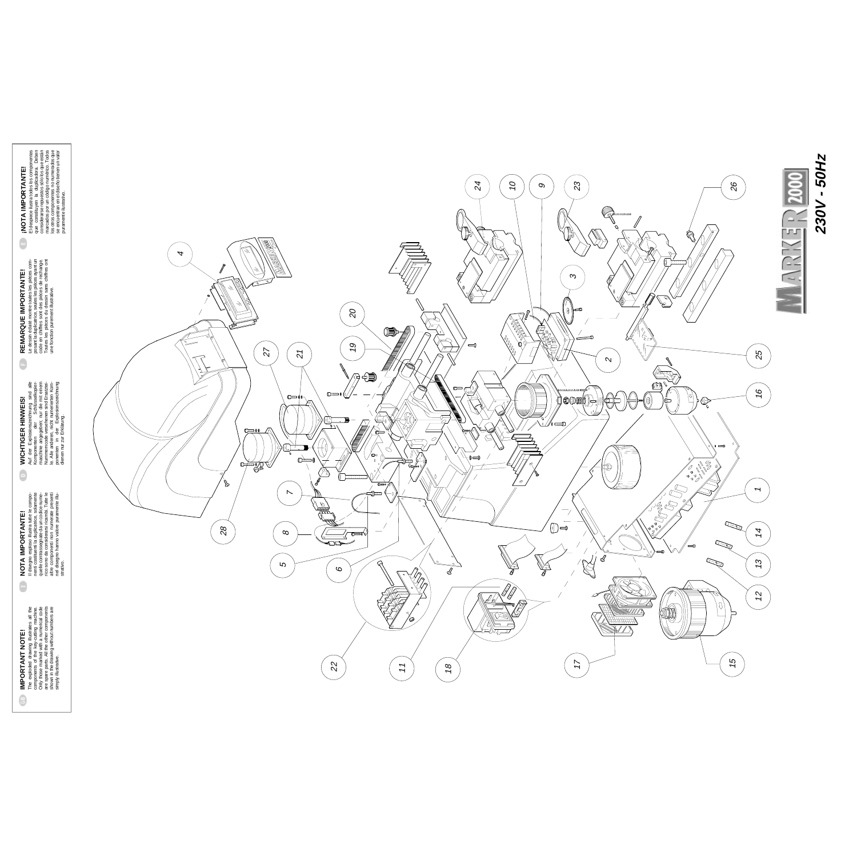